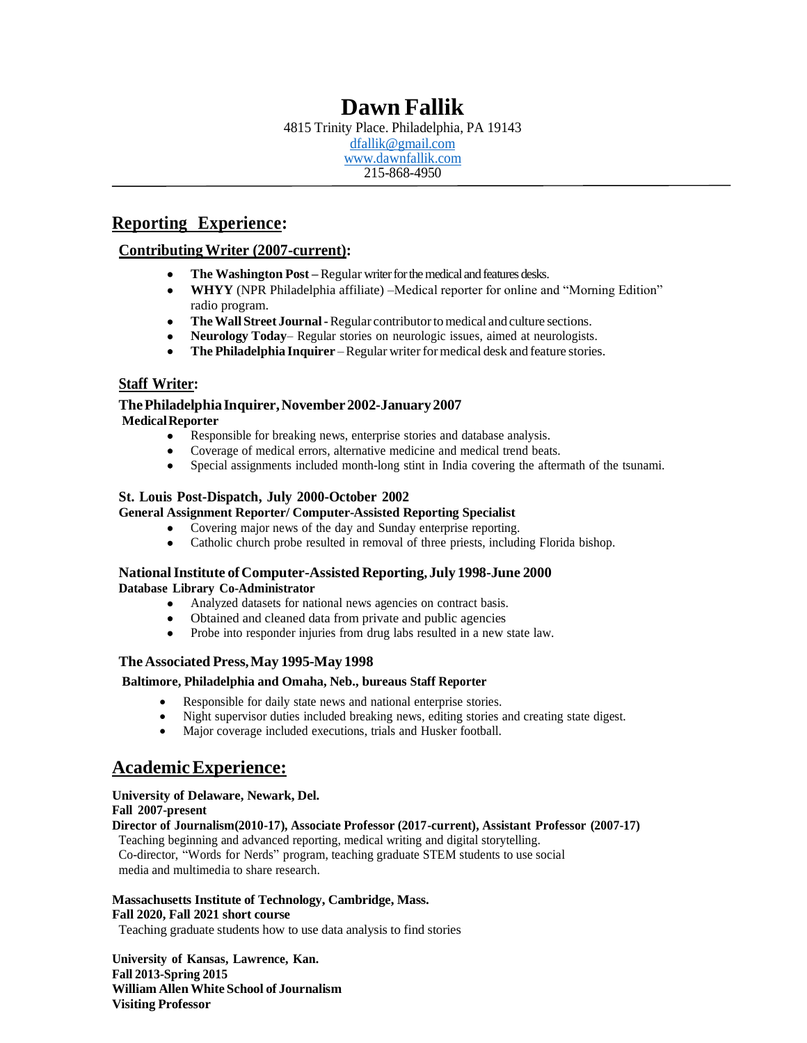# **Dawn Fallik**

4815 Trinity Place. Philadelphia, PA 19143 [dfallik@gmail.com](mailto:dfallik@gmail.com) [www.dawnfallik.com](http://www.dawnfallik.com/) 215-868-4950

# **Reporting Experience:**

### **ContributingWriter (2007-current):**

- **The Washington Post –** Regular writer for the medical and features desks.
- **WHYY** (NPR Philadelphia affiliate) –Medical reporter for online and "Morning Edition" radio program.
- **TheWallStreet Journal-**Regular contributortomedical andculture sections.
- **Neurology Today** Regular stories on neurologic issues, aimed at neurologists.
- **The Philadelphia Inquirer** Regular writer for medical desk and feature stories.

### **Staff Writer:**

#### **ThePhiladelphiaInquirer,November2002-January2007 MedicalReporter**

- Responsible for breaking news, enterprise stories and database analysis.
- Coverage of medical errors, alternative medicine and medical trend beats.
- Special assignments included month-long stint in India covering the aftermath of the tsunami.

### **St. Louis Post-Dispatch, July 2000-October 2002**

### **General Assignment Reporter/ Computer-Assisted Reporting Specialist**

- Covering major news of the day and Sunday enterprise reporting.
- Catholic church probe resulted in removal of three priests, including Florida bishop.

#### **NationalInstitute ofComputer-Assisted Reporting, July 1998-June 2000 Database Library Co-Administrator**

- Analyzed datasets for national news agencies on contract basis.
- Obtained and cleaned data from private and public agencies
- Probe into responder injuries from drug labs resulted in a new state law.

### **The Associated Press,May 1995-May 1998**

#### **Baltimore, Philadelphia and Omaha, Neb., bureaus Staff Reporter**

- Responsible for daily state news and national enterprise stories.
- Night supervisor duties included breaking news, editing stories and creating state digest.
- Major coverage included executions, trials and Husker football.

# **AcademicExperience:**

### **University of Delaware, Newark, Del.**

### **Fall 2007-present**

### **Director of Journalism(2010-17), Associate Professor (2017-current), Assistant Professor (2007-17)**

Teaching beginning and advanced reporting, medical writing and digital storytelling. Co-director, "Words for Nerds" program, teaching graduate STEM students to use social media and multimedia to share research.

#### **Massachusetts Institute of Technology, Cambridge, Mass. Fall 2020, Fall 2021 short course**

Teaching graduate students how to use data analysis to find stories

**University of Kansas, Lawrence, Kan. Fall 2013-Spring 2015 William Allen WhiteSchool of Journalism Visiting Professor**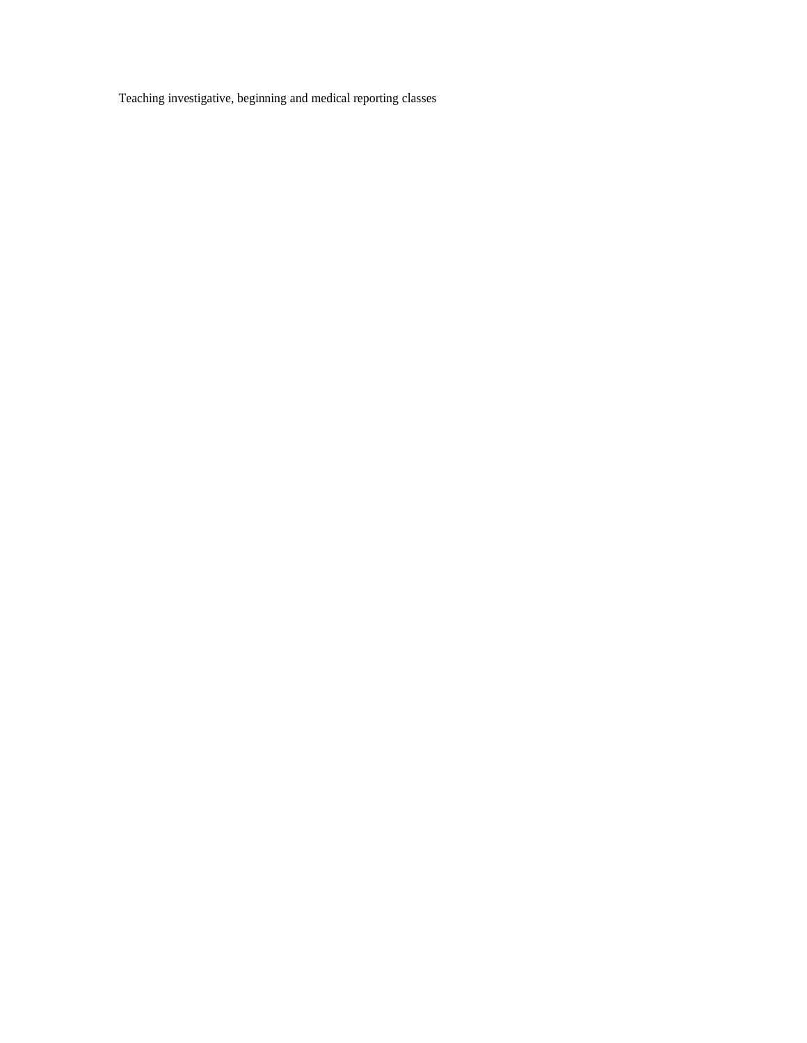Teaching investigative, beginning and medical reporting classes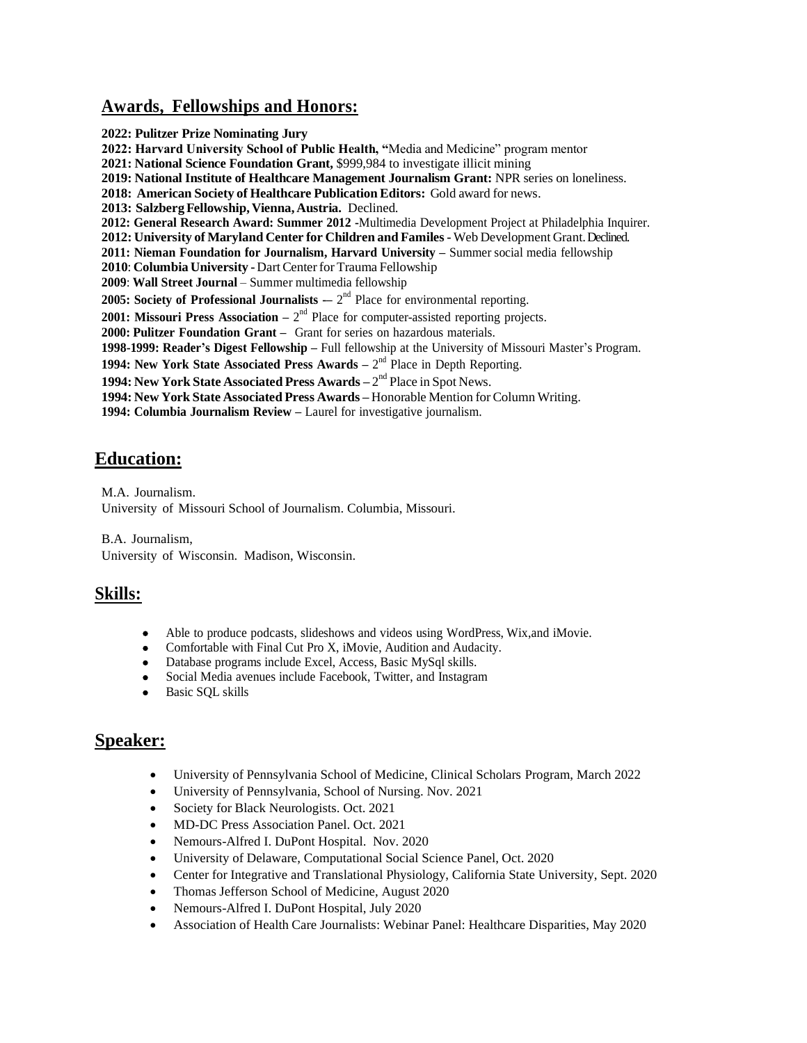### **Awards, Fellowships and Honors:**

**2022: Pulitzer Prize Nominating Jury 2022: Harvard University School of Public Health, "**Media and Medicine" program mentor **2021: National Science Foundation Grant,** \$999,984 to investigate illicit mining **2019: National Institute of Healthcare Management Journalism Grant:** NPR series on loneliness. **2018: AmericanSociety of Healthcare Publication Editors:** Gold award for news. **2013: SalzbergFellowship, Vienna, Austria.** Declined. **2012: General Research Award: Summer 2012 -**Multimedia Development Project at Philadelphia Inquirer. **2012: University of Maryland Center for Childrenand Familes-** Web Development Grant. Declined. **2011: Nieman Foundation for Journalism, Harvard University –** Summer social media fellowship 2010: **Columbia University - Dart Center for Trauma Fellowship 2009**: **Wall Street Journal** – Summer multimedia fellowship **2005:** Society of Professional Journalists  $-2^{nd}$  Place for environmental reporting. **2001: Missouri Press Association** –  $2<sup>nd</sup>$  Place for computer-assisted reporting projects. **2000: Pulitzer Foundation Grant –** Grant for series on hazardous materials. **1998-1999: Reader's Digest Fellowship –** Full fellowship at the University of Missouri Master's Program. **1994: New York State Associated Press Awards –** 2 nd Place in Depth Reporting. **1994: New York State Associated Press Awards –**  $2<sup>nd</sup>$  **Place in Spot News. 1994: New YorkState Associated Press Awards –** Honorable Mention for Column Writing. **1994: Columbia Journalism Review –** Laurel for investigative journalism.

# **Education:**

 M.A. Journalism. University of Missouri School of Journalism. Columbia, Missouri.

 B.A. Journalism, University of Wisconsin. Madison, Wisconsin.

# **Skills:**

- Able to produce podcasts, slideshows and videos using WordPress, Wix,and iMovie.
- Comfortable with Final Cut Pro X, iMovie, Audition and Audacity.
- Database programs include Excel, Access, Basic MySql skills.
- Social Media avenues include Facebook, Twitter, and Instagram
- Basic SQL skills

# **Speaker:**

- University of Pennsylvania School of Medicine, Clinical Scholars Program, March 2022
- University of Pennsylvania, School of Nursing. Nov. 2021
- Society for Black Neurologists. Oct. 2021
- MD-DC Press Association Panel. Oct. 2021
- Nemours-Alfred I. DuPont Hospital. Nov. 2020
- University of Delaware, Computational Social Science Panel, Oct. 2020
- Center for Integrative and Translational Physiology, California State University, Sept. 2020
- Thomas Jefferson School of Medicine, August 2020
- Nemours-Alfred I. DuPont Hospital, July 2020
- Association of Health Care Journalists: Webinar Panel: Healthcare Disparities, May 2020